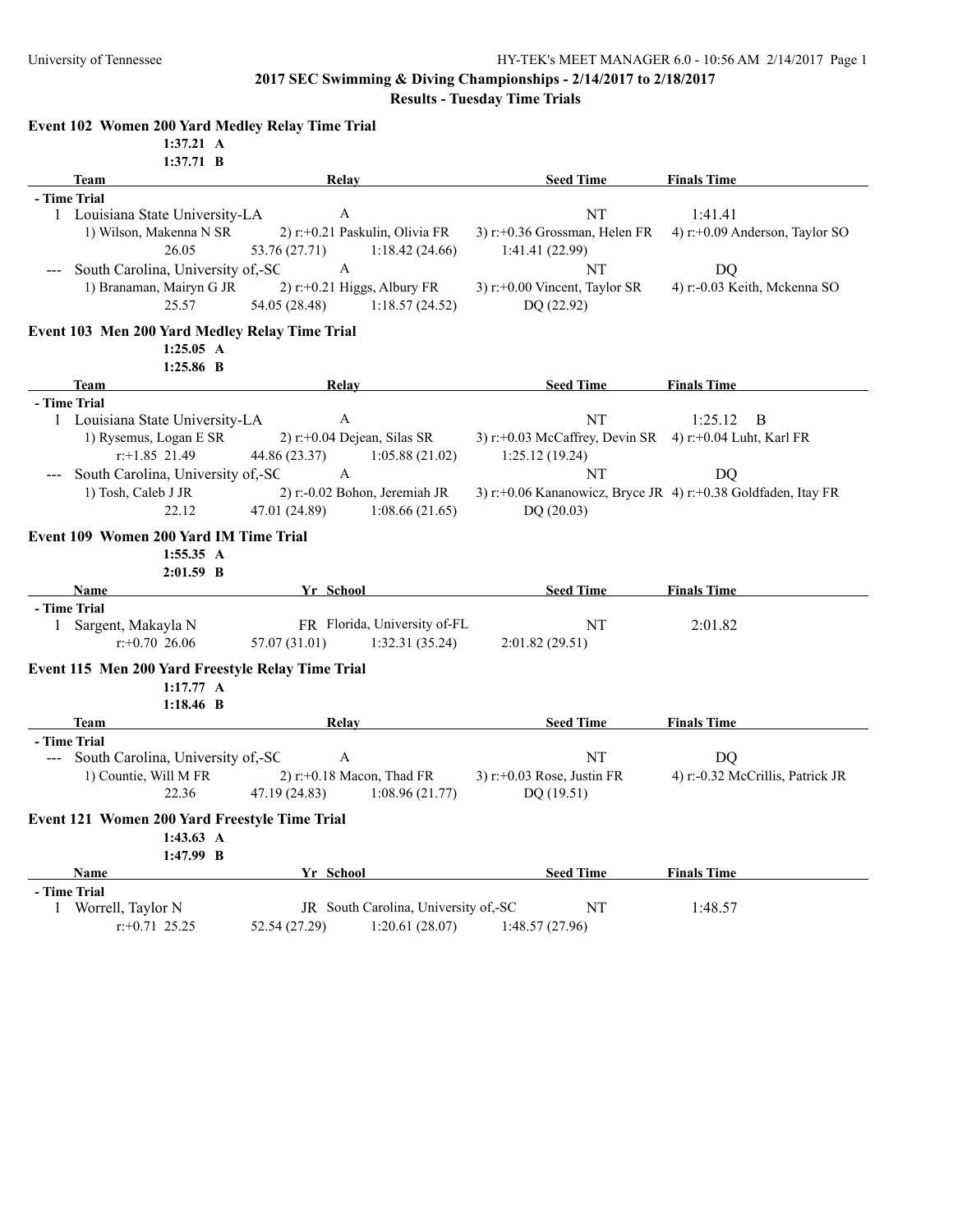## **2017 SEC Swimming & Diving Championships - 2/14/2017 to 2/18/2017**

**Results - Tuesday Time Trials**

|              | Event 102 Women 200 Yard Medley Relay Time Trial           |                                                |                                      |                                                               |                                           |
|--------------|------------------------------------------------------------|------------------------------------------------|--------------------------------------|---------------------------------------------------------------|-------------------------------------------|
|              | $1:37.21 \text{ A}$                                        |                                                |                                      |                                                               |                                           |
|              | 1:37.71 B                                                  |                                                |                                      |                                                               |                                           |
|              | <b>Team</b>                                                | Relay                                          |                                      | <b>Seed Time</b>                                              | <b>Finals Time</b>                        |
| - Time Trial |                                                            | $\mathbf{A}$                                   |                                      | NT                                                            |                                           |
|              | 1 Louisiana State University-LA<br>1) Wilson, Makenna N SR |                                                | 2) r:+0.21 Paskulin, Olivia FR       | 3) $r$ :+0.36 Grossman, Helen FR                              | 1:41.41<br>4) r:+0.09 Anderson, Taylor SO |
|              | 26.05                                                      | 53.76 (27.71)                                  | 1:18.42(24.66)                       | 1:41.41(22.99)                                                |                                           |
|              | South Carolina, University of,-SC                          | $\mathbf{A}$                                   |                                      | NT                                                            | DQ                                        |
|              | 1) Branaman, Mairyn G JR<br>25.57                          | $2)$ r:+0.21 Higgs, Albury FR<br>54.05 (28.48) | 1:18.57(24.52)                       | 3) $r$ :+0.00 Vincent, Taylor SR<br>DQ(22.92)                 | 4) r:-0.03 Keith, Mckenna SO              |
|              | Event 103 Men 200 Yard Medley Relay Time Trial             |                                                |                                      |                                                               |                                           |
|              | 1:25.05 A                                                  |                                                |                                      |                                                               |                                           |
|              | $1:25.86$ B                                                |                                                |                                      |                                                               |                                           |
|              | Team                                                       | Relay                                          |                                      | <b>Seed Time</b>                                              | <b>Finals Time</b>                        |
| - Time Trial | 1 Louisiana State University-LA                            | $\mathbf{A}$                                   |                                      | NT                                                            | 1:25.12<br>B                              |
|              | 1) Rysemus, Logan E SR                                     | $2)$ r:+0.04 Dejean, Silas SR                  |                                      | 3) r:+0.03 McCaffrey, Devin SR 4) r:+0.04 Luht, Karl FR       |                                           |
|              | $r$ :+1.85 21.49                                           | 44.86 (23.37)                                  | 1:05.88(21.02)                       | 1:25.12(19.24)                                                |                                           |
|              | South Carolina, University of,-SC                          | A                                              |                                      | NT                                                            | DQ                                        |
|              | 1) Tosh, Caleb J JR                                        |                                                | 2) r:-0.02 Bohon, Jeremiah JR        | 3) r:+0.06 Kananowicz, Bryce JR 4) r:+0.38 Goldfaden, Itay FR |                                           |
|              | 22.12                                                      | 47.01 (24.89)                                  | 1:08.66(21.65)                       | DQ(20.03)                                                     |                                           |
|              | Event 109 Women 200 Yard IM Time Trial<br>1:55.35 A        |                                                |                                      |                                                               |                                           |
|              | $2:01.59$ B                                                |                                                |                                      |                                                               |                                           |
|              | <b>Name</b>                                                | Yr School                                      |                                      | <b>Seed Time</b>                                              | <b>Finals Time</b>                        |
|              | - Time Trial                                               |                                                |                                      |                                                               |                                           |
|              | 1 Sargent, Makayla N                                       |                                                | FR Florida, University of-FL         | NT                                                            | 2:01.82                                   |
|              | $r: +0.70$ 26.06                                           | 57.07 (31.01)                                  | 1:32.31(35.24)                       | 2:01.82(29.51)                                                |                                           |
|              | Event 115 Men 200 Yard Freestyle Relay Time Trial          |                                                |                                      |                                                               |                                           |
|              | 1:17.77 A                                                  |                                                |                                      |                                                               |                                           |
|              | 1:18.46 B                                                  |                                                |                                      |                                                               |                                           |
|              | Team                                                       | Relay                                          |                                      | <b>Seed Time</b>                                              | <b>Finals Time</b>                        |
|              | - Time Trial                                               |                                                |                                      |                                                               |                                           |
|              | --- South Carolina, University of,-SC                      | $\mathbf{A}$                                   |                                      | NT                                                            | DQ                                        |
|              | 1) Countie, Will M FR                                      | 2) $r$ : +0.18 Macon, Thad FR                  |                                      | 3) r:+0.03 Rose, Justin FR                                    | 4) r:-0.32 McCrillis, Patrick JR          |
|              | 22.36                                                      | 47.19 (24.83)                                  | 1:08.96(21.77)                       | DQ (19.51)                                                    |                                           |
|              | Event 121 Women 200 Yard Freestyle Time Trial              | $-1$                                           |                                      |                                                               |                                           |
|              | $1:43.63 \text{ A}$                                        |                                                |                                      |                                                               |                                           |
|              | 1:47.99 B                                                  |                                                |                                      |                                                               |                                           |
|              | Name                                                       | Yr School                                      |                                      | <b>Seed Time</b>                                              | <b>Finals Time</b>                        |
|              | - Time Trial                                               |                                                |                                      |                                                               |                                           |
|              | 1 Worrell, Taylor N                                        |                                                | JR South Carolina, University of,-SC | $\rm{NT}$                                                     | 1:48.57                                   |
|              | $r: +0.71$ 25.25                                           | 52.54 (27.29)                                  | 1:20.61(28.07)                       | 1:48.57(27.96)                                                |                                           |
|              |                                                            |                                                |                                      |                                                               |                                           |